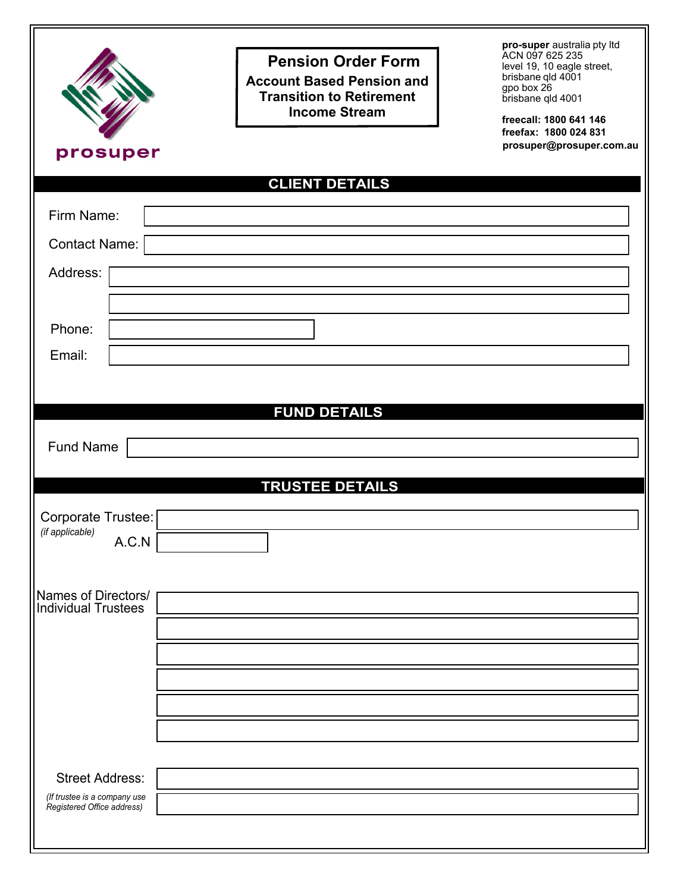| prosuper                                                   | <b>Pension Order Form</b><br><b>Account Based Pension and</b><br><b>Transition to Retirement</b><br><b>Income Stream</b> | pro-super australia pty ltd<br>ACN 097 625 235<br>level 19, 10 eagle street,<br>brisbane qld 4001<br>gpo box 26<br>brisbane qld 4001<br>freecall: 1800 641 146<br>freefax: 1800 024 831<br>prosuper@prosuper.com.au |
|------------------------------------------------------------|--------------------------------------------------------------------------------------------------------------------------|---------------------------------------------------------------------------------------------------------------------------------------------------------------------------------------------------------------------|
|                                                            | <b>CLIENT DETAILS</b>                                                                                                    |                                                                                                                                                                                                                     |
| Firm Name:                                                 |                                                                                                                          |                                                                                                                                                                                                                     |
| Contact Name:                                              |                                                                                                                          |                                                                                                                                                                                                                     |
| Address:                                                   |                                                                                                                          |                                                                                                                                                                                                                     |
|                                                            |                                                                                                                          |                                                                                                                                                                                                                     |
| Phone:                                                     |                                                                                                                          |                                                                                                                                                                                                                     |
| Email:                                                     |                                                                                                                          |                                                                                                                                                                                                                     |
|                                                            |                                                                                                                          |                                                                                                                                                                                                                     |
|                                                            | <b>FUND DETAILS</b>                                                                                                      |                                                                                                                                                                                                                     |
| <b>Fund Name</b>                                           |                                                                                                                          |                                                                                                                                                                                                                     |
|                                                            | <b>TRUSTEE DETAILS</b>                                                                                                   |                                                                                                                                                                                                                     |
| Corporate Trustee:                                         |                                                                                                                          |                                                                                                                                                                                                                     |
| (if applicable)<br>A.C.N                                   |                                                                                                                          |                                                                                                                                                                                                                     |
|                                                            |                                                                                                                          |                                                                                                                                                                                                                     |
| Names of Directors/<br><b>Individual Trustees</b>          |                                                                                                                          |                                                                                                                                                                                                                     |
|                                                            |                                                                                                                          |                                                                                                                                                                                                                     |
|                                                            |                                                                                                                          |                                                                                                                                                                                                                     |
|                                                            |                                                                                                                          |                                                                                                                                                                                                                     |
|                                                            |                                                                                                                          |                                                                                                                                                                                                                     |
|                                                            |                                                                                                                          |                                                                                                                                                                                                                     |
| <b>Street Address:</b>                                     |                                                                                                                          |                                                                                                                                                                                                                     |
| (If trustee is a company use<br>Registered Office address) |                                                                                                                          |                                                                                                                                                                                                                     |
|                                                            |                                                                                                                          |                                                                                                                                                                                                                     |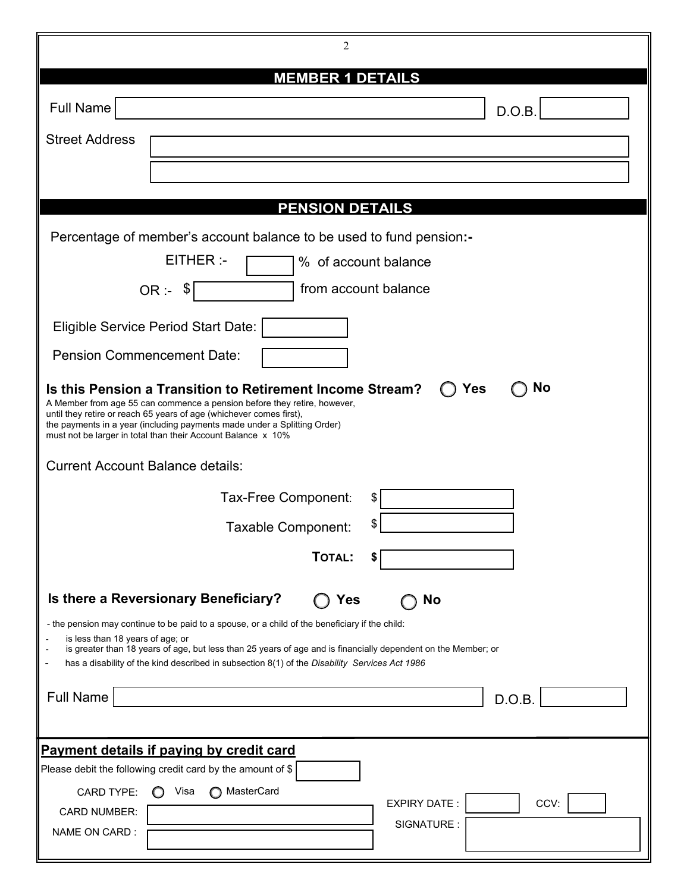| 2                                                                                                                                                                                                                                                                                                                                                                                                         |  |  |
|-----------------------------------------------------------------------------------------------------------------------------------------------------------------------------------------------------------------------------------------------------------------------------------------------------------------------------------------------------------------------------------------------------------|--|--|
| <b>MEMBER 1 DETAILS</b>                                                                                                                                                                                                                                                                                                                                                                                   |  |  |
| <b>Full Name</b><br>D.O.B.                                                                                                                                                                                                                                                                                                                                                                                |  |  |
| <b>Street Address</b>                                                                                                                                                                                                                                                                                                                                                                                     |  |  |
|                                                                                                                                                                                                                                                                                                                                                                                                           |  |  |
| <b>PENSION DETAILS</b>                                                                                                                                                                                                                                                                                                                                                                                    |  |  |
|                                                                                                                                                                                                                                                                                                                                                                                                           |  |  |
| Percentage of member's account balance to be used to fund pension:-<br>$E$ THER:<br>% of account balance                                                                                                                                                                                                                                                                                                  |  |  |
|                                                                                                                                                                                                                                                                                                                                                                                                           |  |  |
| from account balance<br>OR:~\$                                                                                                                                                                                                                                                                                                                                                                            |  |  |
| Eligible Service Period Start Date:                                                                                                                                                                                                                                                                                                                                                                       |  |  |
| <b>Pension Commencement Date:</b>                                                                                                                                                                                                                                                                                                                                                                         |  |  |
| <b>No</b><br>Is this Pension a Transition to Retirement Income Stream?<br>Yes<br>A Member from age 55 can commence a pension before they retire, however,<br>until they retire or reach 65 years of age (whichever comes first),<br>the payments in a year (including payments made under a Splitting Order)<br>must not be larger in total than their Account Balance x 10%                              |  |  |
| <b>Current Account Balance details:</b>                                                                                                                                                                                                                                                                                                                                                                   |  |  |
| Tax-Free Component:<br>S                                                                                                                                                                                                                                                                                                                                                                                  |  |  |
| \$<br>Taxable Component:                                                                                                                                                                                                                                                                                                                                                                                  |  |  |
| TOTAL:                                                                                                                                                                                                                                                                                                                                                                                                    |  |  |
| Is there a Reversionary Beneficiary?<br>Yes<br>No<br>- the pension may continue to be paid to a spouse, or a child of the beneficiary if the child:<br>is less than 18 years of age; or<br>is greater than 18 years of age, but less than 25 years of age and is financially dependent on the Member; or<br>has a disability of the kind described in subsection 8(1) of the Disability Services Act 1986 |  |  |
| <b>Full Name</b><br>D.O.B.                                                                                                                                                                                                                                                                                                                                                                                |  |  |
| Payment details if paying by credit card                                                                                                                                                                                                                                                                                                                                                                  |  |  |
| Please debit the following credit card by the amount of \$                                                                                                                                                                                                                                                                                                                                                |  |  |
| ◯ MasterCard<br>Visa<br><b>CARD TYPE:</b><br><b>EXPIRY DATE:</b><br>CCV:<br><b>CARD NUMBER:</b>                                                                                                                                                                                                                                                                                                           |  |  |
| SIGNATURE:<br>NAME ON CARD :                                                                                                                                                                                                                                                                                                                                                                              |  |  |
|                                                                                                                                                                                                                                                                                                                                                                                                           |  |  |